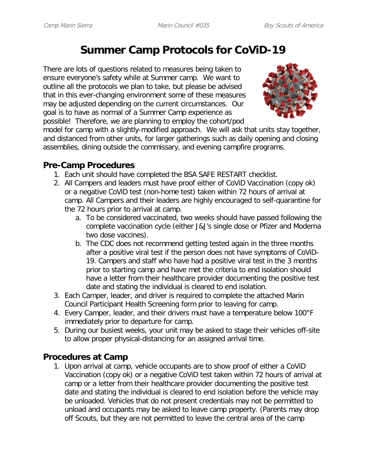## **Summer Camp Protocols for CoViD-19**

There are lots of questions related to measures being taken to ensure everyone's safety while at Summer camp. We want to outline all the protocols we plan to take, but please be advised that in this ever-changing environment some of these measures may be adjusted depending on the current circumstances. Our goal is to have as normal of a Summer Camp experience as possible! Therefore, we are planning to employ the cohort/pod



model for camp with a slightly-modified approach. We will ask that units stay together, and distanced from other units, for larger gatherings such as daily opening and closing assemblies, dining outside the commissary, and evening campfire programs.

## **Pre-Camp Procedures**

- 1. Each unit should have completed the BSA SAFE RESTART checklist.
- 2. All Campers and leaders must have proof either of CoViD Vaccination (copy ok) or a negative CoViD test (non-home test) taken within 72 hours of arrival at camp. All Campers and their leaders are highly encouraged to self-quarantine for the 72 hours prior to arrival at camp.
	- a. To be considered vaccinated, two weeks should have passed following the complete vaccination cycle (either J&J's single dose or Pfizer and Moderna two dose vaccines).
	- b. The CDC does not recommend getting tested again in the three months after a positive viral test if the person does not have symptoms of CoViD-19. Campers and staff who have had a positive viral test in the 3 months prior to starting camp and have met the criteria to end isolation should have a letter from their healthcare provider documenting the positive test date and stating the individual is cleared to end isolation.
- 3. Each Camper, leader, and driver is required to complete the attached Marin Council Participant Health Screening form prior to leaving for camp.
- 4. Every Camper, leader, and their drivers must have a temperature below 100°F immediately prior to departure for camp.
- 5. During our busiest weeks, your unit may be asked to stage their vehicles off-site to allow proper physical-distancing for an assigned arrival time.

## **Procedures at Camp**

1. Upon arrival at camp, vehicle occupants are to show proof of either a CoViD Vaccination (copy ok) or a negative CoViD test taken within 72 hours of arrival at camp or a letter from their healthcare provider documenting the positive test date and stating the individual is cleared to end isolation before the vehicle may be unloaded. Vehicles that do not present credentials may not be permitted to unload and occupants may be asked to leave camp property. (Parents may drop off Scouts, but they are not permitted to leave the central area of the camp